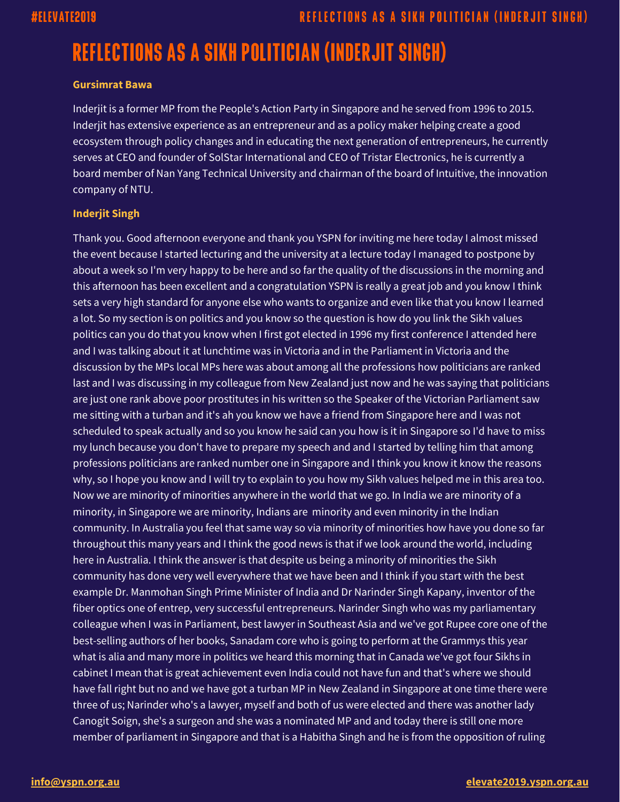### **Gursimrat Bawa**

Inderjit is a former MP from the People's Action Party in Singapore and he served from 1996 to 2015. Inderjit has extensive experience as an entrepreneur and as a policy maker helping create a good ecosystem through policy changes and in educating the next generation of entrepreneurs, he currently serves at CEO and founder of SolStar International and CEO of Tristar Electronics, he is currently a board member of Nan Yang Technical University and chairman of the board of Intuitive, the innovation company of NTU.

### **Inderjit Singh**

Thank you. Good afternoon everyone and thank you YSPN for inviting me here today I almost missed the event because I started lecturing and the university at a lecture today I managed to postpone by about a week so I'm very happy to be here and so far the quality of the discussions in the morning and this afternoon has been excellent and a congratulation YSPN is really a great job and you know I think sets a very high standard for anyone else who wants to organize and even like that you know I learned a lot. So my section is on politics and you know so the question is how do you link the Sikh values politics can you do that you know when I first got elected in 1996 my first conference I attended here and I was talking about it at lunchtime was in Victoria and in the Parliament in Victoria and the discussion by the MPs local MPs here was about among all the professions how politicians are ranked last and I was discussing in my colleague from New Zealand just now and he was saying that politicians are just one rank above poor prostitutes in his written so the Speaker of the Victorian Parliament saw me sitting with a turban and it's ah you know we have a friend from Singapore here and I was not scheduled to speak actually and so you know he said can you how is it in Singapore so I'd have to miss my lunch because you don't have to prepare my speech and and I started by telling him that among professions politicians are ranked number one in Singapore and I think you know it know the reasons why, so I hope you know and I will try to explain to you how my Sikh values helped me in this area too. Now we are minority of minorities anywhere in the world that we go. In India we are minority of a minority, in Singapore we are minority, Indians are minority and even minority in the Indian community. In Australia you feel that same way so via minority of minorities how have you done so far throughout this many years and I think the good news is that if we look around the world, including here in Australia. I think the answer is that despite us being a minority of minorities the Sikh community has done very well everywhere that we have been and I think if you start with the best example Dr. Manmohan Singh Prime Minister of India and Dr Narinder Singh Kapany, inventor of the fiber optics one of entrep, very successful entrepreneurs. Narinder Singh who was my parliamentary colleague when I was in Parliament, best lawyer in Southeast Asia and we've got Rupee core one of the best-selling authors of her books, Sanadam core who is going to perform at the Grammys this year what is alia and many more in politics we heard this morning that in Canada we've got four Sikhs in cabinet I mean that is great achievement even India could not have fun and that's where we should have fall right but no and we have got a turban MP in New Zealand in Singapore at one time there were three of us; Narinder who's a lawyer, myself and both of us were elected and there was another lady Canogit Soign, she's a surgeon and she was a nominated MP and and today there is still one more member of parliament in Singapore and that is a Habitha Singh and he is from the opposition of ruling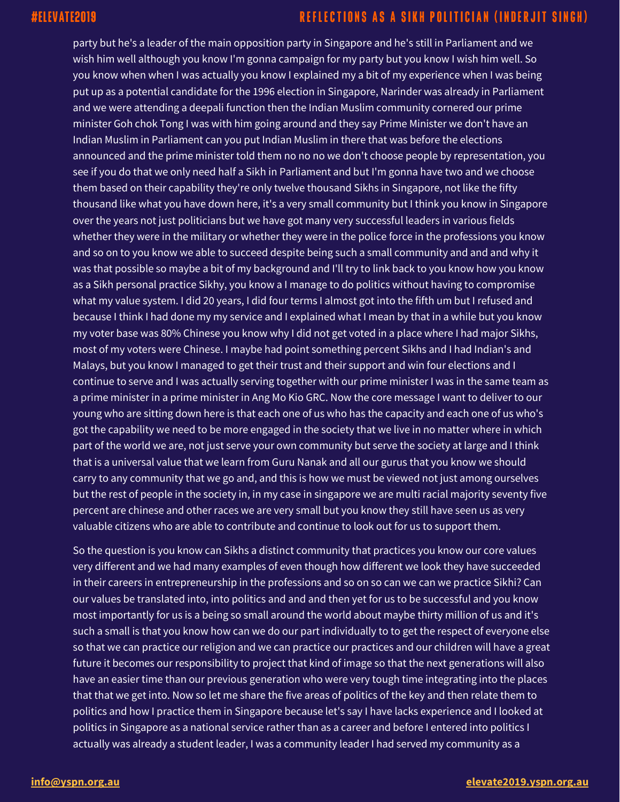party but he's a leader of the main opposition party in Singapore and he's still in Parliament and we wish him well although you know I'm gonna campaign for my party but you know I wish him well. So you know when when I was actually you know I explained my a bit of my experience when I was being put up as a potential candidate for the 1996 election in Singapore, Narinder was already in Parliament and we were attending a deepali function then the Indian Muslim community cornered our prime minister Goh chok Tong I was with him going around and they say Prime Minister we don't have an Indian Muslim in Parliament can you put Indian Muslim in there that was before the elections announced and the prime minister told them no no no we don't choose people by representation, you see if you do that we only need half a Sikh in Parliament and but I'm gonna have two and we choose them based on their capability they're only twelve thousand Sikhs in Singapore, not like the fifty thousand like what you have down here, it's a very small community but I think you know in Singapore over the years not just politicians but we have got many very successful leaders in various fields whether they were in the military or whether they were in the police force in the professions you know and so on to you know we able to succeed despite being such a small community and and and why it was that possible so maybe a bit of my background and I'll try to link back to you know how you know as a Sikh personal practice Sikhy, you know a I manage to do politics without having to compromise what my value system. I did 20 years, I did four terms I almost got into the fifth um but I refused and because I think I had done my my service and I explained what I mean by that in a while but you know my voter base was 80% Chinese you know why I did not get voted in a place where I had major Sikhs, most of my voters were Chinese. I maybe had point something percent Sikhs and I had Indian's and Malays, but you know I managed to get their trust and their support and win four elections and I continue to serve and I was actually serving together with our prime minister I was in the same team as a prime minister in a prime minister in Ang Mo Kio GRC. Now the core message I want to deliver to our young who are sitting down here is that each one of us who has the capacity and each one of us who's got the capability we need to be more engaged in the society that we live in no matter where in which part of the world we are, not just serve your own community but serve the society at large and I think that is a universal value that we learn from Guru Nanak and all our gurus that you know we should carry to any community that we go and, and this is how we must be viewed not just among ourselves but the rest of people in the society in, in my case in singapore we are multi racial majority seventy five percent are chinese and other races we are very small but you know they still have seen us as very valuable citizens who are able to contribute and continue to look out for us to support them.

So the question is you know can Sikhs a distinct community that practices you know our core values very different and we had many examples of even though how different we look they have succeeded in their careers in entrepreneurship in the professions and so on so can we can we practice Sikhi? Can our values be translated into, into politics and and and then yet for us to be successful and you know most importantly for us is a being so small around the world about maybe thirty million of us and it's such a small is that you know how can we do our part individually to to get the respect of everyone else so that we can practice our religion and we can practice our practices and our children will have a great future it becomes our responsibility to project that kind of image so that the next generations will also have an easier time than our previous generation who were very tough time integrating into the places that that we get into. Now so let me share the five areas of politics of the key and then relate them to politics and how I practice them in Singapore because let's say I have lacks experience and I looked at politics in Singapore as a national service rather than as a career and before I entered into politics I actually was already a student leader, I was a community leader I had served my community as a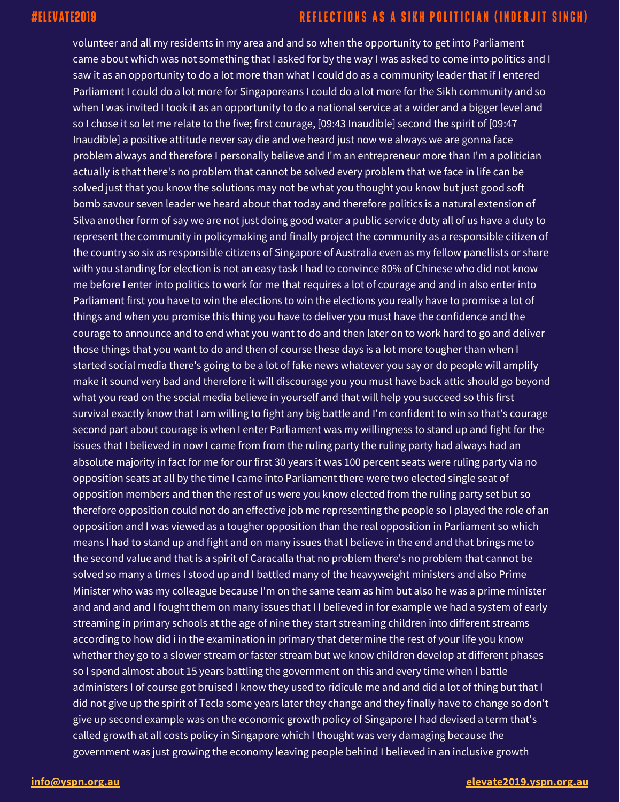volunteer and all my residents in my area and and so when the opportunity to get into Parliament came about which was not something that I asked for by the way I was asked to come into politics and I saw it as an opportunity to do a lot more than what I could do as a community leader that if I entered Parliament I could do a lot more for Singaporeans I could do a lot more for the Sikh community and so when I was invited I took it as an opportunity to do a national service at a wider and a bigger level and so I chose it so let me relate to the five; first courage, [09:43 Inaudible] second the spirit of [09:47 Inaudible] a positive attitude never say die and we heard just now we always we are gonna face problem always and therefore I personally believe and I'm an entrepreneur more than I'm a politician actually is that there's no problem that cannot be solved every problem that we face in life can be solved just that you know the solutions may not be what you thought you know but just good soft bomb savour seven leader we heard about that today and therefore politics is a natural extension of Silva another form of say we are not just doing good water a public service duty all of us have a duty to represent the community in policymaking and finally project the community as a responsible citizen of the country so six as responsible citizens of Singapore of Australia even as my fellow panellists or share with you standing for election is not an easy task I had to convince 80% of Chinese who did not know me before I enter into politics to work for me that requires a lot of courage and and in also enter into Parliament first you have to win the elections to win the elections you really have to promise a lot of things and when you promise this thing you have to deliver you must have the confidence and the courage to announce and to end what you want to do and then later on to work hard to go and deliver those things that you want to do and then of course these days is a lot more tougher than when I started social media there's going to be a lot of fake news whatever you say or do people will amplify make it sound very bad and therefore it will discourage you you must have back attic should go beyond what you read on the social media believe in yourself and that will help you succeed so this first survival exactly know that I am willing to fight any big battle and I'm confident to win so that's courage second part about courage is when I enter Parliament was my willingness to stand up and fight for the issues that I believed in now I came from from the ruling party the ruling party had always had an absolute majority in fact for me for our first 30 years it was 100 percent seats were ruling party via no opposition seats at all by the time I came into Parliament there were two elected single seat of opposition members and then the rest of us were you know elected from the ruling party set but so therefore opposition could not do an effective job me representing the people so I played the role of an opposition and I was viewed as a tougher opposition than the real opposition in Parliament so which means I had to stand up and fight and on many issues that I believe in the end and that brings me to the second value and that is a spirit of Caracalla that no problem there's no problem that cannot be solved so many a times I stood up and I battled many of the heavyweight ministers and also Prime Minister who was my colleague because I'm on the same team as him but also he was a prime minister and and and and I fought them on many issues that II believed in for example we had a system of early streaming in primary schools at the age of nine they start streaming children into different streams according to how did i in the examination in primary that determine the rest of your life you know whether they go to a slower stream or faster stream but we know children develop at different phases so I spend almost about 15 years battling the government on this and every time when I battle administers I of course got bruised I know they used to ridicule me and and did a lot of thing but that I did not give up the spirit of Tecla some years later they change and they finally have to change so don't give up second example was on the economic growth policy of Singapore I had devised a term that's called growth at all costs policy in Singapore which I thought was very damaging because the government was just growing the economy leaving people behind I believed in an inclusive growth

### **[info@yspn.org.au](mailto:info@yspn.org.au) [elevate2019.yspn.org.au](https://elevate2019.yspn.org.au/)**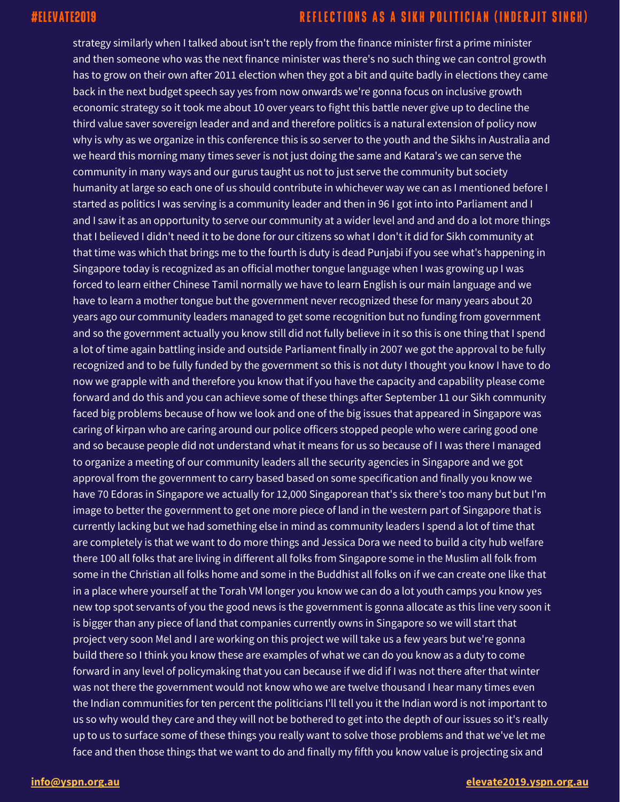strategy similarly when I talked about isn't the reply from the finance minister first a prime minister and then someone who was the next finance minister was there's no such thing we can control growth has to grow on their own after 2011 election when they got a bit and quite badly in elections they came back in the next budget speech say yes from now onwards we're gonna focus on inclusive growth economic strategy so it took me about 10 over years to fight this battle never give up to decline the third value saver sovereign leader and and and therefore politics is a natural extension of policy now why is why as we organize in this conference this is so server to the youth and the Sikhs in Australia and we heard this morning many times sever is not just doing the same and Katara's we can serve the community in many ways and our gurus taught us not to just serve the community but society humanity at large so each one of us should contribute in whichever way we can as I mentioned before I started as politics I was serving is a community leader and then in 96 I got into into Parliament and I and I saw it as an opportunity to serve our community at a wider level and and and do a lot more things that I believed I didn't need it to be done for our citizens so what I don't it did for Sikh community at that time was which that brings me to the fourth is duty is dead Punjabi if you see what's happening in Singapore today is recognized as an official mother tongue language when I was growing up I was forced to learn either Chinese Tamil normally we have to learn English is our main language and we have to learn a mother tongue but the government never recognized these for many years about 20 years ago our community leaders managed to get some recognition but no funding from government and so the government actually you know still did not fully believe in it so this is one thing that I spend a lot of time again battling inside and outside Parliament finally in 2007 we got the approval to be fully recognized and to be fully funded by the government so this is not duty I thought you know I have to do now we grapple with and therefore you know that if you have the capacity and capability please come forward and do this and you can achieve some of these things after September 11 our Sikh community faced big problems because of how we look and one of the big issues that appeared in Singapore was caring of kirpan who are caring around our police officers stopped people who were caring good one and so because people did not understand what it means for us so because of I I was there I managed to organize a meeting of our community leaders all the security agencies in Singapore and we got approval from the government to carry based based on some specification and finally you know we have 70 Edoras in Singapore we actually for 12,000 Singaporean that's six there's too many but but I'm image to better the government to get one more piece of land in the western part of Singapore that is currently lacking but we had something else in mind as community leaders I spend a lot of time that are completely is that we want to do more things and Jessica Dora we need to build a city hub welfare there 100 all folks that are living in different all folks from Singapore some in the Muslim all folk from some in the Christian all folks home and some in the Buddhist all folks on if we can create one like that in a place where yourself at the Torah VM longer you know we can do a lot youth camps you know yes new top spot servants of you the good news is the government is gonna allocate as this line very soon it is bigger than any piece of land that companies currently owns in Singapore so we will start that project very soon Mel and I are working on this project we will take us a few years but we're gonna build there so I think you know these are examples of what we can do you know as a duty to come forward in any level of policymaking that you can because if we did if I was not there after that winter was not there the government would not know who we are twelve thousand I hear many times even the Indian communities for ten percent the politicians I'll tell you it the Indian word is not important to us so why would they care and they will not be bothered to get into the depth of our issues so it's really up to us to surface some of these things you really want to solve those problems and that we've let me face and then those things that we want to do and finally my fifth you know value is projecting six and